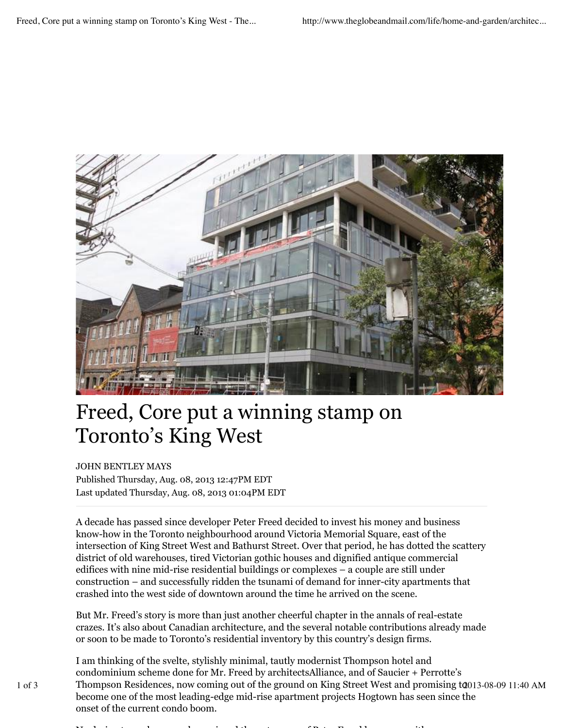

## Freed, Core put a winning stamp on Toronto's King West

## JOHN BENTLEY MAYS

Published Thursday, Aug. 08, 2013 12:47PM EDT Last updated Thursday, Aug. 08, 2013 01:04PM EDT

A decade has passed since developer Peter Freed decided to invest his money and business know-how in the Toronto neighbourhood around Victoria Memorial Square, east of the intersection of King Street West and Bathurst Street. Over that period, he has dotted the scattery district of old warehouses, tired Victorian gothic houses and dignified antique commercial edifices with nine mid-rise residential buildings or complexes – a couple are still under construction – and successfully ridden the tsunami of demand for inner-city apartments that crashed into the west side of downtown around the time he arrived on the scene.

But Mr. Freed's story is more than just another cheerful chapter in the annals of real-estate crazes. It's also about Canadian architecture, and the several notable contributions already made or soon to be made to Toronto's residential inventory by this country's design firms.

I am thinking of the svelte, stylishly minimal, tautly modernist Thompson hotel and condominium scheme done for Mr. Freed by architectsAlliance, and of Saucier + Perrotte's 1 of 3 Thompson Residences, now coming out of the ground on King Street West and promising t0013-08-09 11:40 AM become one of the most leading-edge mid-rise apartment projects Hogtown has seen since the onset of the current condo boom.

No design team, however, has enjoyed the patronage of Peter Freed longer, or with more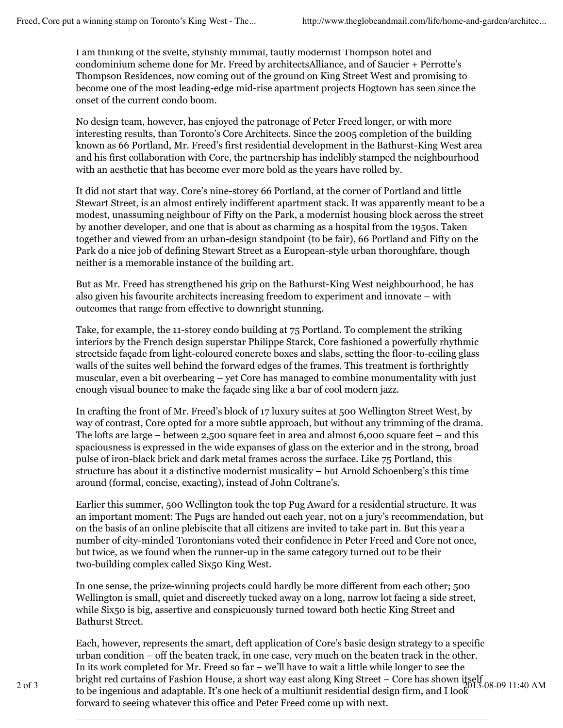I am thinking of the svelte, stylishly minimal, tautly modernist Thompson hotel and condominium scheme done for Mr. Freed by architectsAlliance, and of Saucier + Perrotte's Thompson Residences, now coming out of the ground on King Street West and promising to become one of the most leading-edge mid-rise apartment projects Hogtown has seen since the onset of the current condo boom.

No design team, however, has enjoyed the patronage of Peter Freed longer, or with more interesting results, than Toronto's Core Architects. Since the 2005 completion of the building known as 66 Portland, Mr. Freed's first residential development in the Bathurst-King West area and his first collaboration with Core, the partnership has indelibly stamped the neighbourhood with an aesthetic that has become ever more bold as the years have rolled by.

It did not start that way. Core's nine-storey 66 Portland, at the corner of Portland and little Stewart Street, is an almost entirely indifferent apartment stack. It was apparently meant to be a modest, unassuming neighbour of Fifty on the Park, a modernist housing block across the street by another developer, and one that is about as charming as a hospital from the 1950s. Taken together and viewed from an urban-design standpoint (to be fair), 66 Portland and Fifty on the Park do a nice job of defining Stewart Street as a European-style urban thoroughfare, though neither is a memorable instance of the building art.

But as Mr. Freed has strengthened his grip on the Bathurst-King West neighbourhood, he has also given his favourite architects increasing freedom to experiment and innovate – with outcomes that range from effective to downright stunning.

Take, for example, the 11-storey condo building at 75 Portland. To complement the striking interiors by the French design superstar Philippe Starck, Core fashioned a powerfully rhythmic streetside façade from light-coloured concrete boxes and slabs, setting the floor-to-ceiling glass walls of the suites well behind the forward edges of the frames. This treatment is forthrightly muscular, even a bit overbearing – yet Core has managed to combine monumentality with just enough visual bounce to make the façade sing like a bar of cool modern jazz.

In crafting the front of Mr. Freed's block of 17 luxury suites at 500 Wellington Street West, by way of contrast, Core opted for a more subtle approach, but without any trimming of the drama. The lofts are large – between 2,500 square feet in area and almost  $6,000$  square feet – and this spaciousness is expressed in the wide expanses of glass on the exterior and in the strong, broad pulse of iron-black brick and dark metal frames across the surface. Like 75 Portland, this structure has about it a distinctive modernist musicality – but Arnold Schoenberg's this time around (formal, concise, exacting), instead of John Coltrane's.

Earlier this summer, 500 Wellington took the top Pug Award for a residential structure. It was an important moment: The Pugs are handed out each year, not on a jury's recommendation, but on the basis of an online plebiscite that all citizens are invited to take part in. But this year a number of city-minded Torontonians voted their confidence in Peter Freed and Core not once, but twice, as we found when the runner-up in the same category turned out to be their two-building complex called Six50 King West.

In one sense, the prize-winning projects could hardly be more different from each other; 500 Wellington is small, quiet and discreetly tucked away on a long, narrow lot facing a side street, while Six50 is big, assertive and conspicuously turned toward both hectic King Street and Bathurst Street.

Each, however, represents the smart, deft application of Core's basic design strategy to a specific urban condition – off the beaten track, in one case, very much on the beaten track in the other. In its work completed for Mr. Freed so far – we'll have to wait a little while longer to see the 2 of 3 bright red curtains of Fashion House, a short way east along King Street – Core has shown itself<br>2 of 3 to be inconjous and adoptable. It's ano healt of a multiunit residential design firm, and Use  $1^{13}$ -08-09 11: to be ingenious and adaptable. It's one heck of a multiunit residential design firm, and I look forward to seeing whatever this office and Peter Freed come up with next.